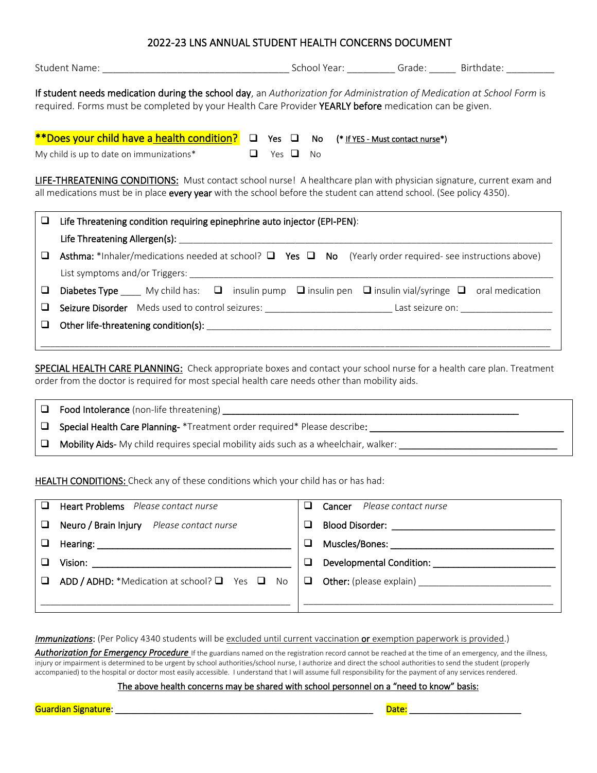## 2022-23 LNS ANNUAL STUDENT HEALTH CONCERNS DOCUMENT

|                                                                                                                                                                                                                                                     |                                                                                                                                    |                   |  |           |                                          |  | School Year: ___________Grade: ________ Birthdate: ____________ |
|-----------------------------------------------------------------------------------------------------------------------------------------------------------------------------------------------------------------------------------------------------|------------------------------------------------------------------------------------------------------------------------------------|-------------------|--|-----------|------------------------------------------|--|-----------------------------------------------------------------|
| If student needs medication during the school day, an Authorization for Administration of Medication at School Form is<br>required. Forms must be completed by your Health Care Provider YEARLY before medication can be given.                     |                                                                                                                                    |                   |  |           |                                          |  |                                                                 |
|                                                                                                                                                                                                                                                     | **Does your child have a health condition? $\Box$ Yes $\Box$ No                                                                    |                   |  |           | (* <u>If YES - Must contact nurse</u> *) |  |                                                                 |
|                                                                                                                                                                                                                                                     | My child is up to date on immunizations*                                                                                           | $\Box$ Yes $\Box$ |  | <b>No</b> |                                          |  |                                                                 |
| <b>LIFE-THREATENING CONDITIONS:</b> Must contact school nurse! A healthcare plan with physician signature, current exam and<br>all medications must be in place every year with the school before the student can attend school. (See policy 4350). |                                                                                                                                    |                   |  |           |                                          |  |                                                                 |
| $\Box$                                                                                                                                                                                                                                              | Life Threatening condition requiring epinephrine auto injector (EPI-PEN):                                                          |                   |  |           |                                          |  |                                                                 |
| ⊔                                                                                                                                                                                                                                                   | <b>Asthma:</b> *Inhaler/medications needed at school? $\Box$ Yes $\Box$ No (Yearly order required- see instructions above)         |                   |  |           |                                          |  |                                                                 |
| ⊔                                                                                                                                                                                                                                                   | <b>Diabetes Type</b> _____ My child has: $\Box$ insulin pump $\Box$ insulin pen $\Box$ insulin vial/syringe $\Box$ oral medication |                   |  |           |                                          |  |                                                                 |
| ⊔                                                                                                                                                                                                                                                   | Seizure Disorder Meds used to control seizures: ________________________________Last seizure on: _____________                     |                   |  |           |                                          |  |                                                                 |
| ⊔                                                                                                                                                                                                                                                   |                                                                                                                                    |                   |  |           |                                          |  |                                                                 |
|                                                                                                                                                                                                                                                     |                                                                                                                                    |                   |  |           |                                          |  |                                                                 |

SPECIAL HEALTH CARE PLANNING: Check appropriate boxes and contact your school nurse for a health care plan. Treatment order from the doctor is required for most special health care needs other than mobility aids.

| $\Box$ | <b>Food Intolerance</b> (non-life threatening)                                              |
|--------|---------------------------------------------------------------------------------------------|
| ⊐      | <b>Special Health Care Planning-</b> *Treatment order required* Please describe:            |
| $\Box$ | <b>Mobility Aids-</b> My child requires special mobility aids such as a wheelchair, walker: |

HEALTH CONDITIONS: Check any of these conditions which your child has or has had:

| Heart Problems Please contact nurse                                                                                                                                                                                                                                                                                                                                                                                        | <b>Cancer</b> Please contact nurse                 |
|----------------------------------------------------------------------------------------------------------------------------------------------------------------------------------------------------------------------------------------------------------------------------------------------------------------------------------------------------------------------------------------------------------------------------|----------------------------------------------------|
| Neuro / Brain Injury Please contact nurse                                                                                                                                                                                                                                                                                                                                                                                  | Blood Disorder: __________________________________ |
|                                                                                                                                                                                                                                                                                                                                                                                                                            |                                                    |
| Vision: $\frac{1}{\sqrt{1-\frac{1}{2}}\cdot\frac{1}{\sqrt{1-\frac{1}{2}}\cdot\frac{1}{\sqrt{1-\frac{1}{2}}\cdot\frac{1}{\sqrt{1-\frac{1}{2}}\cdot\frac{1}{\sqrt{1-\frac{1}{2}}\cdot\frac{1}{\sqrt{1-\frac{1}{2}}\cdot\frac{1}{\sqrt{1-\frac{1}{2}}\cdot\frac{1}{\sqrt{1-\frac{1}{2}}\cdot\frac{1}{\sqrt{1-\frac{1}{2}}\cdot\frac{1}{\sqrt{1-\frac{1}{2}}\cdot\frac{1}{\sqrt{1-\frac{1}{2}}\cdot\frac{1}{\sqrt{1-\frac{1}{$ | Developmental Condition: New York 1999             |
| ADD / ADHD: *Medication at school? $\Box$ Yes $\Box$ No                                                                                                                                                                                                                                                                                                                                                                    |                                                    |
|                                                                                                                                                                                                                                                                                                                                                                                                                            |                                                    |

*Immunizations*: (Per Policy 4340 students will be excluded until current vaccination or exemption paperwork is provided.)

Authorization for Emergency Procedure If the guardians named on the registration record cannot be reached at the time of an emergency, and the illness, injury or impairment is determined to be urgent by school authorities/school nurse, I authorize and direct the school authorities to send the student (properly accompanied) to the hospital or doctor most easily accessible. I understand that I will assume full responsibility for the payment of any services rendered.

The above health concerns may be shared with school personnel on a "need to know" basis:

Guardian Signature: \_\_\_\_\_\_\_\_\_\_\_\_\_\_\_\_\_\_\_\_\_\_\_\_\_\_\_\_\_\_\_\_\_\_\_\_\_\_\_\_\_\_\_\_\_\_\_\_\_\_\_\_\_ Date: \_\_\_\_\_\_\_\_\_\_\_\_\_\_\_\_\_\_\_\_\_\_\_

| and the state of the state of the state of the state of the state of the state of the state of the state of th<br>٠ |       |  |
|---------------------------------------------------------------------------------------------------------------------|-------|--|
| <b>STATE</b>                                                                                                        | ----- |  |